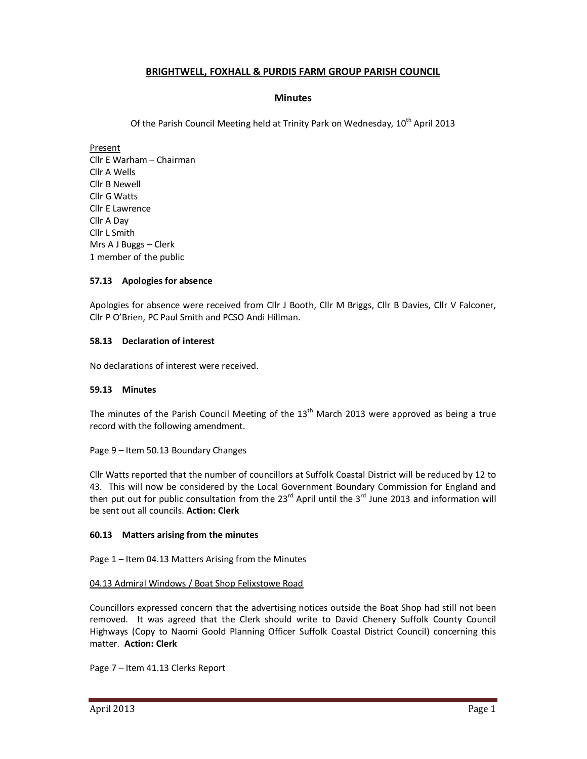# **BRIGHTWELL, FOXHALL & PURDIS FARM GROUP PARISH COUNCIL**

# **Minutes**

Of the Parish Council Meeting held at Trinity Park on Wednesday, 10<sup>th</sup> April 2013

Present Cllr E Warham – Chairman Cllr A Wells Cllr B Newell Cllr G Watts Cllr E Lawrence Cllr A Day Cllr L Smith Mrs A J Buggs – Clerk 1 member of the public

## **57.13 Apologies for absence**

Apologies for absence were received from Cllr J Booth, Cllr M Briggs, Cllr B Davies, Cllr V Falconer, Cllr P O'Brien, PC Paul Smith and PCSO Andi Hillman.

### **58.13 Declaration of interest**

No declarations of interest were received.

#### **59.13 Minutes**

The minutes of the Parish Council Meeting of the  $13<sup>th</sup>$  March 2013 were approved as being a true record with the following amendment.

Page 9 – Item 50.13 Boundary Changes

Cllr Watts reported that the number of councillors at Suffolk Coastal District will be reduced by 12 to 43. This will now be considered by the Local Government Boundary Commission for England and then put out for public consultation from the  $23^{rd}$  April until the  $3^{rd}$  June 2013 and information will be sent out all councils. **Action: Clerk** 

## **60.13 Matters arising from the minutes**

Page 1 – Item 04.13 Matters Arising from the Minutes

#### 04.13 Admiral Windows / Boat Shop Felixstowe Road

Councillors expressed concern that the advertising notices outside the Boat Shop had still not been removed. It was agreed that the Clerk should write to David Chenery Suffolk County Council Highways (Copy to Naomi Goold Planning Officer Suffolk Coastal District Council) concerning this matter. **Action: Clerk**

Page 7 – Item 41.13 Clerks Report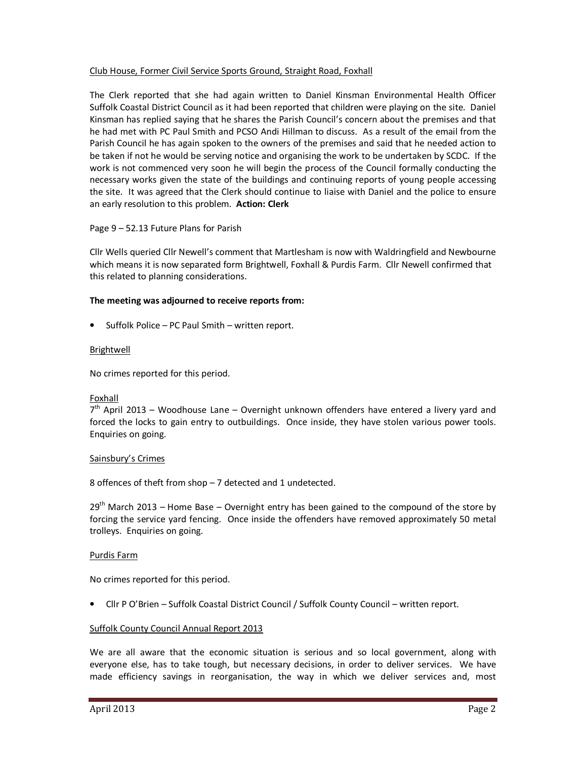### Club House, Former Civil Service Sports Ground, Straight Road, Foxhall

The Clerk reported that she had again written to Daniel Kinsman Environmental Health Officer Suffolk Coastal District Council as it had been reported that children were playing on the site. Daniel Kinsman has replied saying that he shares the Parish Council's concern about the premises and that he had met with PC Paul Smith and PCSO Andi Hillman to discuss. As a result of the email from the Parish Council he has again spoken to the owners of the premises and said that he needed action to be taken if not he would be serving notice and organising the work to be undertaken by SCDC. If the work is not commenced very soon he will begin the process of the Council formally conducting the necessary works given the state of the buildings and continuing reports of young people accessing the site. It was agreed that the Clerk should continue to liaise with Daniel and the police to ensure an early resolution to this problem. **Action: Clerk** 

### Page 9 – 52.13 Future Plans for Parish

Cllr Wells queried Cllr Newell's comment that Martlesham is now with Waldringfield and Newbourne which means it is now separated form Brightwell, Foxhall & Purdis Farm. Cllr Newell confirmed that this related to planning considerations.

### **The meeting was adjourned to receive reports from:**

• Suffolk Police – PC Paul Smith – written report.

#### Brightwell

No crimes reported for this period.

#### Foxhall

7<sup>th</sup> April 2013 – Woodhouse Lane – Overnight unknown offenders have entered a livery yard and forced the locks to gain entry to outbuildings. Once inside, they have stolen various power tools. Enquiries on going.

#### Sainsbury's Crimes

8 offences of theft from shop – 7 detected and 1 undetected.

 $29<sup>th</sup>$  March 2013 – Home Base – Overnight entry has been gained to the compound of the store by forcing the service yard fencing. Once inside the offenders have removed approximately 50 metal trolleys. Enquiries on going.

#### Purdis Farm

No crimes reported for this period.

• Cllr P O'Brien – Suffolk Coastal District Council / Suffolk County Council – written report.

#### Suffolk County Council Annual Report 2013

We are all aware that the economic situation is serious and so local government, along with everyone else, has to take tough, but necessary decisions, in order to deliver services. We have made efficiency savings in reorganisation, the way in which we deliver services and, most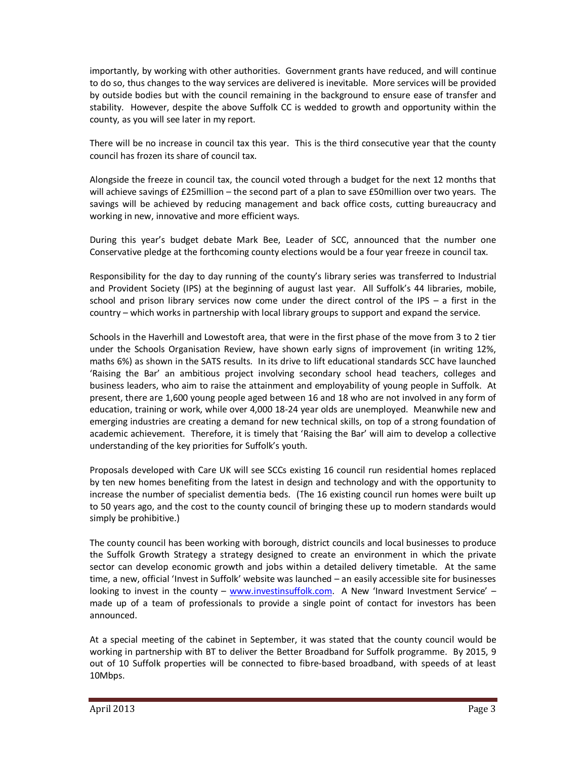importantly, by working with other authorities. Government grants have reduced, and will continue to do so, thus changes to the way services are delivered is inevitable. More services will be provided by outside bodies but with the council remaining in the background to ensure ease of transfer and stability. However, despite the above Suffolk CC is wedded to growth and opportunity within the county, as you will see later in my report.

There will be no increase in council tax this year. This is the third consecutive year that the county council has frozen its share of council tax.

Alongside the freeze in council tax, the council voted through a budget for the next 12 months that will achieve savings of £25million – the second part of a plan to save £50million over two years. The savings will be achieved by reducing management and back office costs, cutting bureaucracy and working in new, innovative and more efficient ways.

During this year's budget debate Mark Bee, Leader of SCC, announced that the number one Conservative pledge at the forthcoming county elections would be a four year freeze in council tax.

Responsibility for the day to day running of the county's library series was transferred to Industrial and Provident Society (IPS) at the beginning of august last year. All Suffolk's 44 libraries, mobile, school and prison library services now come under the direct control of the IPS – a first in the country – which works in partnership with local library groups to support and expand the service.

Schools in the Haverhill and Lowestoft area, that were in the first phase of the move from 3 to 2 tier under the Schools Organisation Review, have shown early signs of improvement (in writing 12%, maths 6%) as shown in the SATS results. In its drive to lift educational standards SCC have launched 'Raising the Bar' an ambitious project involving secondary school head teachers, colleges and business leaders, who aim to raise the attainment and employability of young people in Suffolk. At present, there are 1,600 young people aged between 16 and 18 who are not involved in any form of education, training or work, while over 4,000 18-24 year olds are unemployed. Meanwhile new and emerging industries are creating a demand for new technical skills, on top of a strong foundation of academic achievement. Therefore, it is timely that 'Raising the Bar' will aim to develop a collective understanding of the key priorities for Suffolk's youth.

Proposals developed with Care UK will see SCCs existing 16 council run residential homes replaced by ten new homes benefiting from the latest in design and technology and with the opportunity to increase the number of specialist dementia beds. (The 16 existing council run homes were built up to 50 years ago, and the cost to the county council of bringing these up to modern standards would simply be prohibitive.)

The county council has been working with borough, district councils and local businesses to produce the Suffolk Growth Strategy a strategy designed to create an environment in which the private sector can develop economic growth and jobs within a detailed delivery timetable. At the same time, a new, official 'Invest in Suffolk' website was launched – an easily accessible site for businesses looking to invest in the county – www.investinsuffolk.com. A New 'Inward Investment Service' – made up of a team of professionals to provide a single point of contact for investors has been announced.

At a special meeting of the cabinet in September, it was stated that the county council would be working in partnership with BT to deliver the Better Broadband for Suffolk programme. By 2015, 9 out of 10 Suffolk properties will be connected to fibre-based broadband, with speeds of at least 10Mbps.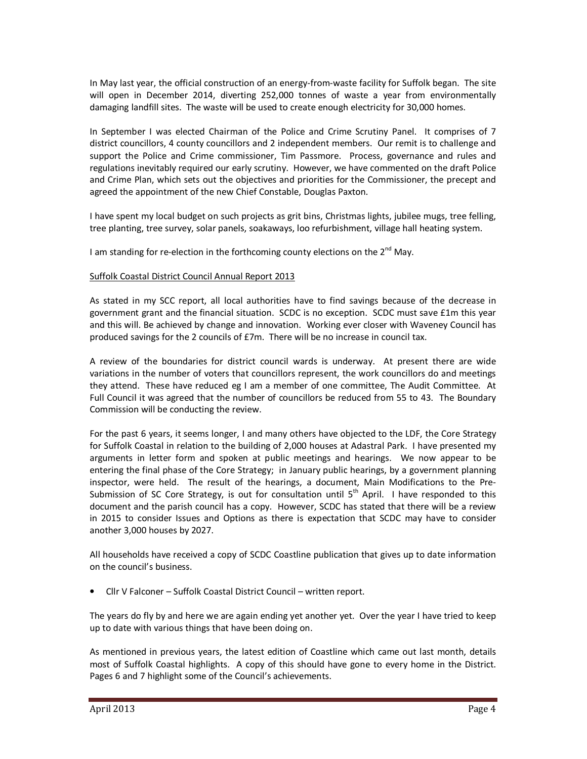In May last year, the official construction of an energy-from-waste facility for Suffolk began. The site will open in December 2014, diverting 252,000 tonnes of waste a year from environmentally damaging landfill sites. The waste will be used to create enough electricity for 30,000 homes.

In September I was elected Chairman of the Police and Crime Scrutiny Panel. It comprises of 7 district councillors, 4 county councillors and 2 independent members. Our remit is to challenge and support the Police and Crime commissioner, Tim Passmore. Process, governance and rules and regulations inevitably required our early scrutiny. However, we have commented on the draft Police and Crime Plan, which sets out the objectives and priorities for the Commissioner, the precept and agreed the appointment of the new Chief Constable, Douglas Paxton.

I have spent my local budget on such projects as grit bins, Christmas lights, jubilee mugs, tree felling, tree planting, tree survey, solar panels, soakaways, loo refurbishment, village hall heating system.

I am standing for re-election in the forthcoming county elections on the  $2^{nd}$  May.

#### Suffolk Coastal District Council Annual Report 2013

As stated in my SCC report, all local authorities have to find savings because of the decrease in government grant and the financial situation. SCDC is no exception. SCDC must save £1m this year and this will. Be achieved by change and innovation. Working ever closer with Waveney Council has produced savings for the 2 councils of £7m. There will be no increase in council tax.

A review of the boundaries for district council wards is underway. At present there are wide variations in the number of voters that councillors represent, the work councillors do and meetings they attend. These have reduced eg I am a member of one committee, The Audit Committee. At Full Council it was agreed that the number of councillors be reduced from 55 to 43. The Boundary Commission will be conducting the review.

For the past 6 years, it seems longer, I and many others have objected to the LDF, the Core Strategy for Suffolk Coastal in relation to the building of 2,000 houses at Adastral Park. I have presented my arguments in letter form and spoken at public meetings and hearings. We now appear to be entering the final phase of the Core Strategy; in January public hearings, by a government planning inspector, were held. The result of the hearings, a document, Main Modifications to the Pre-Submission of SC Core Strategy, is out for consultation until  $5<sup>th</sup>$  April. I have responded to this document and the parish council has a copy. However, SCDC has stated that there will be a review in 2015 to consider Issues and Options as there is expectation that SCDC may have to consider another 3,000 houses by 2027.

All households have received a copy of SCDC Coastline publication that gives up to date information on the council's business.

• Cllr V Falconer – Suffolk Coastal District Council – written report.

The years do fly by and here we are again ending yet another yet. Over the year I have tried to keep up to date with various things that have been doing on.

As mentioned in previous years, the latest edition of Coastline which came out last month, details most of Suffolk Coastal highlights. A copy of this should have gone to every home in the District. Pages 6 and 7 highlight some of the Council's achievements.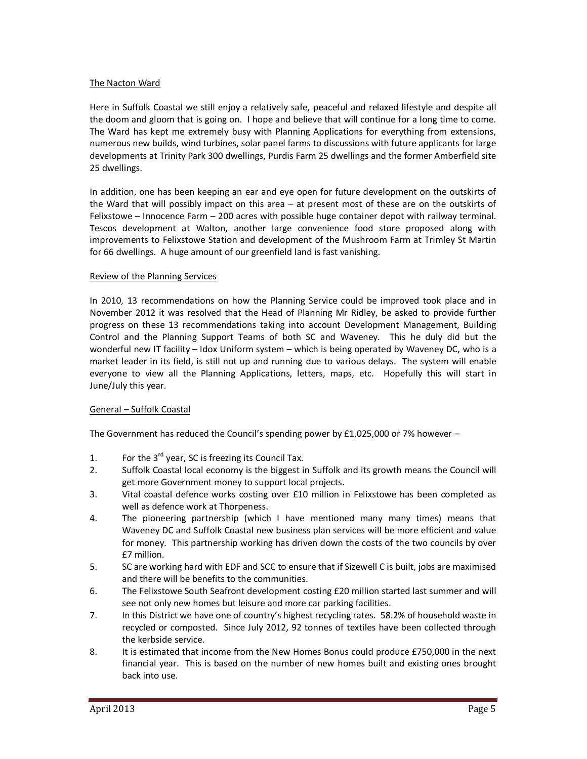### The Nacton Ward

Here in Suffolk Coastal we still enjoy a relatively safe, peaceful and relaxed lifestyle and despite all the doom and gloom that is going on. I hope and believe that will continue for a long time to come. The Ward has kept me extremely busy with Planning Applications for everything from extensions, numerous new builds, wind turbines, solar panel farms to discussions with future applicants for large developments at Trinity Park 300 dwellings, Purdis Farm 25 dwellings and the former Amberfield site 25 dwellings.

In addition, one has been keeping an ear and eye open for future development on the outskirts of the Ward that will possibly impact on this area – at present most of these are on the outskirts of Felixstowe – Innocence Farm – 200 acres with possible huge container depot with railway terminal. Tescos development at Walton, another large convenience food store proposed along with improvements to Felixstowe Station and development of the Mushroom Farm at Trimley St Martin for 66 dwellings. A huge amount of our greenfield land is fast vanishing.

### Review of the Planning Services

In 2010, 13 recommendations on how the Planning Service could be improved took place and in November 2012 it was resolved that the Head of Planning Mr Ridley, be asked to provide further progress on these 13 recommendations taking into account Development Management, Building Control and the Planning Support Teams of both SC and Waveney. This he duly did but the wonderful new IT facility – Idox Uniform system – which is being operated by Waveney DC, who is a market leader in its field, is still not up and running due to various delays. The system will enable everyone to view all the Planning Applications, letters, maps, etc. Hopefully this will start in June/July this year.

## General – Suffolk Coastal

The Government has reduced the Council's spending power by  $£1,025,000$  or 7% however –

- 1. For the  $3^{rd}$  year, SC is freezing its Council Tax.
- 2. Suffolk Coastal local economy is the biggest in Suffolk and its growth means the Council will get more Government money to support local projects.
- 3. Vital coastal defence works costing over £10 million in Felixstowe has been completed as well as defence work at Thorpeness.
- 4. The pioneering partnership (which I have mentioned many many times) means that Waveney DC and Suffolk Coastal new business plan services will be more efficient and value for money. This partnership working has driven down the costs of the two councils by over £7 million.
- 5. SC are working hard with EDF and SCC to ensure that if Sizewell C is built, jobs are maximised and there will be benefits to the communities.
- 6. The Felixstowe South Seafront development costing £20 million started last summer and will see not only new homes but leisure and more car parking facilities.
- 7. In this District we have one of country's highest recycling rates. 58.2% of household waste in recycled or composted. Since July 2012, 92 tonnes of textiles have been collected through the kerbside service.
- 8. It is estimated that income from the New Homes Bonus could produce £750,000 in the next financial year. This is based on the number of new homes built and existing ones brought back into use.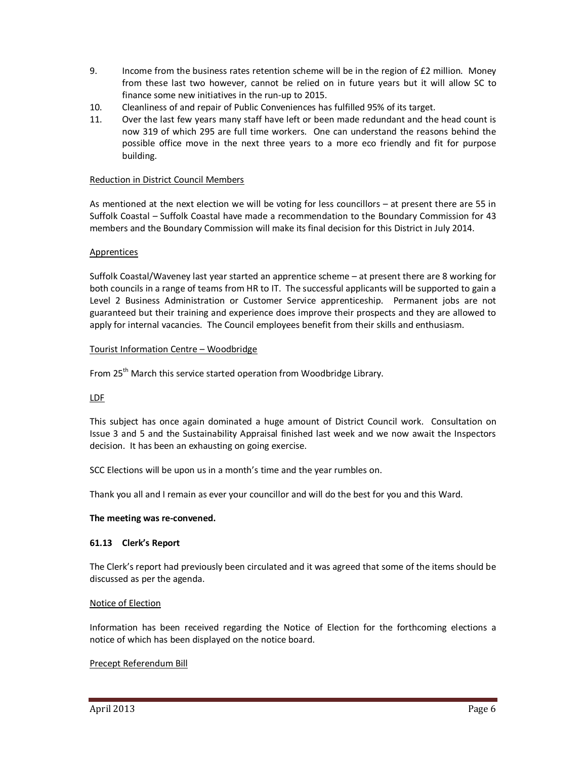- 9. Income from the business rates retention scheme will be in the region of £2 million. Money from these last two however, cannot be relied on in future years but it will allow SC to finance some new initiatives in the run-up to 2015.
- 10. Cleanliness of and repair of Public Conveniences has fulfilled 95% of its target.
- 11. Over the last few years many staff have left or been made redundant and the head count is now 319 of which 295 are full time workers. One can understand the reasons behind the possible office move in the next three years to a more eco friendly and fit for purpose building.

### Reduction in District Council Members

As mentioned at the next election we will be voting for less councillors – at present there are 55 in Suffolk Coastal – Suffolk Coastal have made a recommendation to the Boundary Commission for 43 members and the Boundary Commission will make its final decision for this District in July 2014.

### Apprentices

Suffolk Coastal/Waveney last year started an apprentice scheme – at present there are 8 working for both councils in a range of teams from HR to IT. The successful applicants will be supported to gain a Level 2 Business Administration or Customer Service apprenticeship. Permanent jobs are not guaranteed but their training and experience does improve their prospects and they are allowed to apply for internal vacancies. The Council employees benefit from their skills and enthusiasm.

### Tourist Information Centre – Woodbridge

From 25<sup>th</sup> March this service started operation from Woodbridge Library.

#### LDF

This subject has once again dominated a huge amount of District Council work. Consultation on Issue 3 and 5 and the Sustainability Appraisal finished last week and we now await the Inspectors decision. It has been an exhausting on going exercise.

SCC Elections will be upon us in a month's time and the year rumbles on.

Thank you all and I remain as ever your councillor and will do the best for you and this Ward.

#### **The meeting was re-convened.**

## **61.13 Clerk's Report**

The Clerk's report had previously been circulated and it was agreed that some of the items should be discussed as per the agenda.

#### Notice of Election

Information has been received regarding the Notice of Election for the forthcoming elections a notice of which has been displayed on the notice board.

## Precept Referendum Bill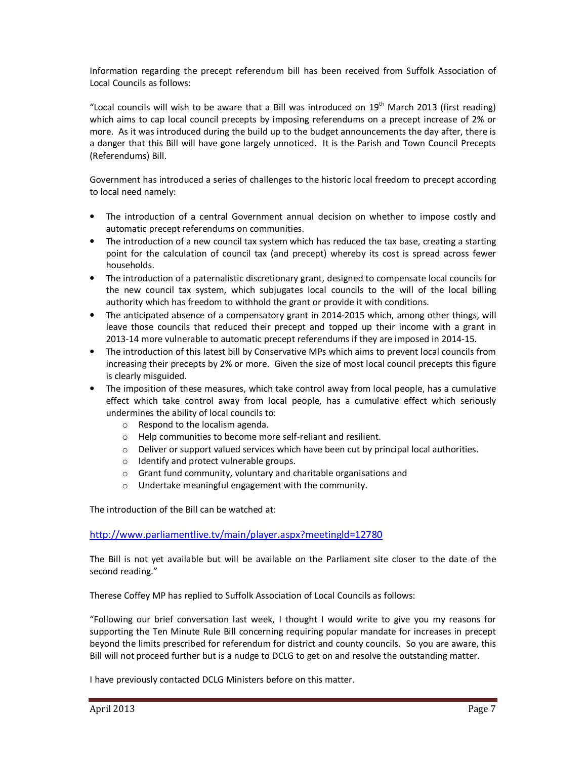Information regarding the precept referendum bill has been received from Suffolk Association of Local Councils as follows:

"Local councils will wish to be aware that a Bill was introduced on  $19<sup>th</sup>$  March 2013 (first reading) which aims to cap local council precepts by imposing referendums on a precept increase of 2% or more. As it was introduced during the build up to the budget announcements the day after, there is a danger that this Bill will have gone largely unnoticed. It is the Parish and Town Council Precepts (Referendums) Bill.

Government has introduced a series of challenges to the historic local freedom to precept according to local need namely:

- The introduction of a central Government annual decision on whether to impose costly and automatic precept referendums on communities.
- The introduction of a new council tax system which has reduced the tax base, creating a starting point for the calculation of council tax (and precept) whereby its cost is spread across fewer households.
- The introduction of a paternalistic discretionary grant, designed to compensate local councils for the new council tax system, which subjugates local councils to the will of the local billing authority which has freedom to withhold the grant or provide it with conditions.
- The anticipated absence of a compensatory grant in 2014-2015 which, among other things, will leave those councils that reduced their precept and topped up their income with a grant in 2013-14 more vulnerable to automatic precept referendums if they are imposed in 2014-15.
- The introduction of this latest bill by Conservative MPs which aims to prevent local councils from increasing their precepts by 2% or more. Given the size of most local council precepts this figure is clearly misguided.
- The imposition of these measures, which take control away from local people, has a cumulative effect which take control away from local people, has a cumulative effect which seriously undermines the ability of local councils to:
	- o Respond to the localism agenda.
	- o Help communities to become more self-reliant and resilient.
	- $\circ$  Deliver or support valued services which have been cut by principal local authorities.
	- o Identify and protect vulnerable groups.
	- o Grant fund community, voluntary and charitable organisations and
	- o Undertake meaningful engagement with the community.

The introduction of the Bill can be watched at:

http://www.parliamentlive.tv/main/player.aspx?meetingld=12780

The Bill is not yet available but will be available on the Parliament site closer to the date of the second reading."

Therese Coffey MP has replied to Suffolk Association of Local Councils as follows:

"Following our brief conversation last week, I thought I would write to give you my reasons for supporting the Ten Minute Rule Bill concerning requiring popular mandate for increases in precept beyond the limits prescribed for referendum for district and county councils. So you are aware, this Bill will not proceed further but is a nudge to DCLG to get on and resolve the outstanding matter.

I have previously contacted DCLG Ministers before on this matter.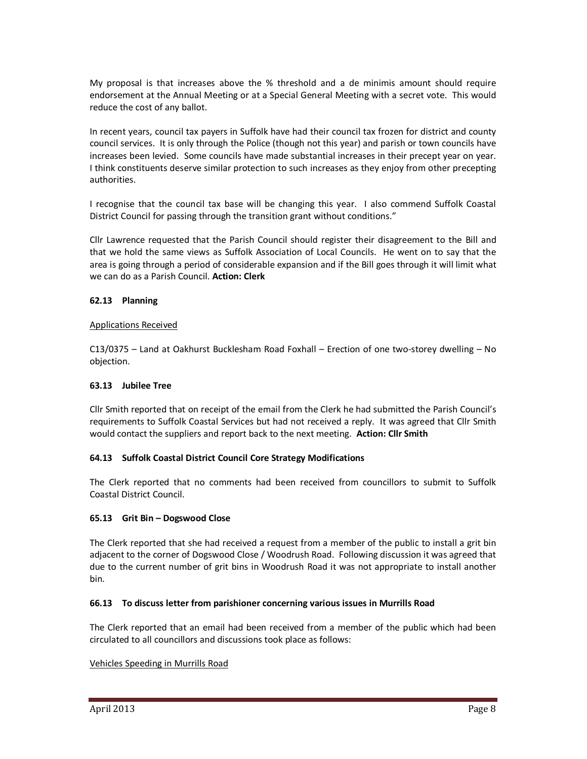My proposal is that increases above the % threshold and a de minimis amount should require endorsement at the Annual Meeting or at a Special General Meeting with a secret vote. This would reduce the cost of any ballot.

In recent years, council tax payers in Suffolk have had their council tax frozen for district and county council services. It is only through the Police (though not this year) and parish or town councils have increases been levied. Some councils have made substantial increases in their precept year on year. I think constituents deserve similar protection to such increases as they enjoy from other precepting authorities.

I recognise that the council tax base will be changing this year. I also commend Suffolk Coastal District Council for passing through the transition grant without conditions."

Cllr Lawrence requested that the Parish Council should register their disagreement to the Bill and that we hold the same views as Suffolk Association of Local Councils. He went on to say that the area is going through a period of considerable expansion and if the Bill goes through it will limit what we can do as a Parish Council. **Action: Clerk** 

### **62.13 Planning**

#### Applications Received

C13/0375 – Land at Oakhurst Bucklesham Road Foxhall – Erection of one two-storey dwelling – No objection.

#### **63.13 Jubilee Tree**

Cllr Smith reported that on receipt of the email from the Clerk he had submitted the Parish Council's requirements to Suffolk Coastal Services but had not received a reply. It was agreed that Cllr Smith would contact the suppliers and report back to the next meeting. **Action: Cllr Smith** 

### **64.13 Suffolk Coastal District Council Core Strategy Modifications**

The Clerk reported that no comments had been received from councillors to submit to Suffolk Coastal District Council.

#### **65.13 Grit Bin – Dogswood Close**

The Clerk reported that she had received a request from a member of the public to install a grit bin adjacent to the corner of Dogswood Close / Woodrush Road. Following discussion it was agreed that due to the current number of grit bins in Woodrush Road it was not appropriate to install another bin.

#### **66.13 To discuss letter from parishioner concerning various issues in Murrills Road**

The Clerk reported that an email had been received from a member of the public which had been circulated to all councillors and discussions took place as follows:

#### Vehicles Speeding in Murrills Road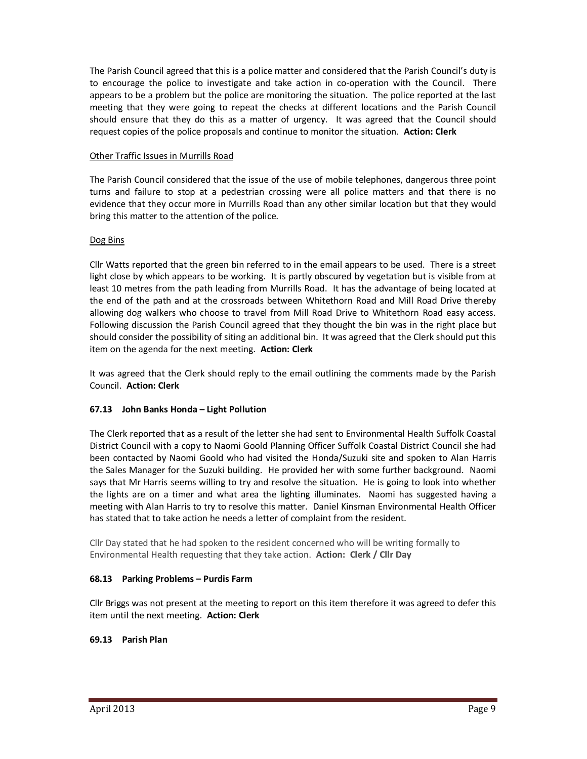The Parish Council agreed that this is a police matter and considered that the Parish Council's duty is to encourage the police to investigate and take action in co-operation with the Council. There appears to be a problem but the police are monitoring the situation. The police reported at the last meeting that they were going to repeat the checks at different locations and the Parish Council should ensure that they do this as a matter of urgency. It was agreed that the Council should request copies of the police proposals and continue to monitor the situation. **Action: Clerk** 

## Other Traffic Issues in Murrills Road

The Parish Council considered that the issue of the use of mobile telephones, dangerous three point turns and failure to stop at a pedestrian crossing were all police matters and that there is no evidence that they occur more in Murrills Road than any other similar location but that they would bring this matter to the attention of the police.

## Dog Bins

Cllr Watts reported that the green bin referred to in the email appears to be used. There is a street light close by which appears to be working. It is partly obscured by vegetation but is visible from at least 10 metres from the path leading from Murrills Road. It has the advantage of being located at the end of the path and at the crossroads between Whitethorn Road and Mill Road Drive thereby allowing dog walkers who choose to travel from Mill Road Drive to Whitethorn Road easy access. Following discussion the Parish Council agreed that they thought the bin was in the right place but should consider the possibility of siting an additional bin. It was agreed that the Clerk should put this item on the agenda for the next meeting. **Action: Clerk** 

It was agreed that the Clerk should reply to the email outlining the comments made by the Parish Council. **Action: Clerk** 

## **67.13 John Banks Honda – Light Pollution**

The Clerk reported that as a result of the letter she had sent to Environmental Health Suffolk Coastal District Council with a copy to Naomi Goold Planning Officer Suffolk Coastal District Council she had been contacted by Naomi Goold who had visited the Honda/Suzuki site and spoken to Alan Harris the Sales Manager for the Suzuki building. He provided her with some further background. Naomi says that Mr Harris seems willing to try and resolve the situation. He is going to look into whether the lights are on a timer and what area the lighting illuminates. Naomi has suggested having a meeting with Alan Harris to try to resolve this matter. Daniel Kinsman Environmental Health Officer has stated that to take action he needs a letter of complaint from the resident.

Cllr Day stated that he had spoken to the resident concerned who will be writing formally to Environmental Health requesting that they take action. **Action: Clerk / Cllr Day** 

## **68.13 Parking Problems – Purdis Farm**

Cllr Briggs was not present at the meeting to report on this item therefore it was agreed to defer this item until the next meeting. **Action: Clerk** 

## **69.13 Parish Plan**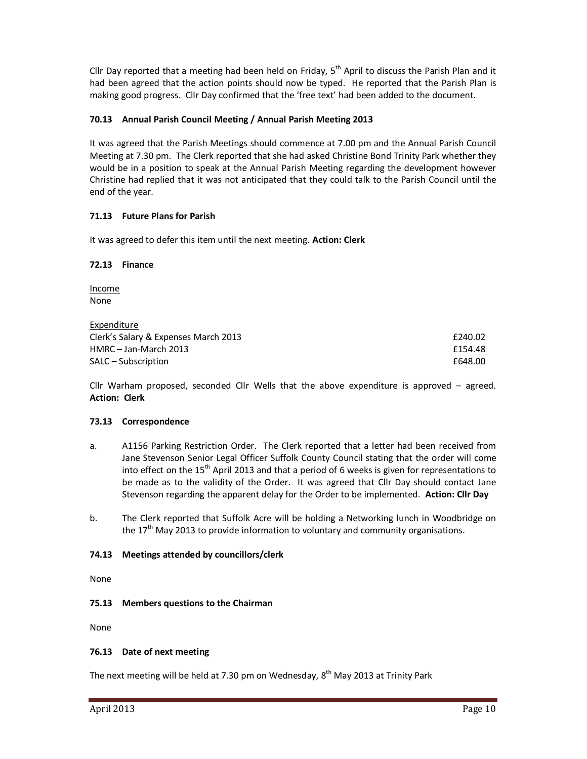Cllr Day reported that a meeting had been held on Friday,  $5<sup>th</sup>$  April to discuss the Parish Plan and it had been agreed that the action points should now be typed. He reported that the Parish Plan is making good progress. Cllr Day confirmed that the 'free text' had been added to the document.

## **70.13 Annual Parish Council Meeting / Annual Parish Meeting 2013**

It was agreed that the Parish Meetings should commence at 7.00 pm and the Annual Parish Council Meeting at 7.30 pm. The Clerk reported that she had asked Christine Bond Trinity Park whether they would be in a position to speak at the Annual Parish Meeting regarding the development however Christine had replied that it was not anticipated that they could talk to the Parish Council until the end of the year.

# **71.13 Future Plans for Parish**

It was agreed to defer this item until the next meeting. **Action: Clerk** 

### **72.13 Finance**

Income None

Expenditure Clerk's Salary & Expenses March 2013 £240.02 HMRC – Jan-March 2013 **E154.48** SALC – Subscription  $648.00$ 

Cllr Warham proposed, seconded Cllr Wells that the above expenditure is approved – agreed. **Action: Clerk** 

## **73.13 Correspondence**

- a. A1156 Parking Restriction Order. The Clerk reported that a letter had been received from Jane Stevenson Senior Legal Officer Suffolk County Council stating that the order will come into effect on the  $15<sup>th</sup>$  April 2013 and that a period of 6 weeks is given for representations to be made as to the validity of the Order. It was agreed that Cllr Day should contact Jane Stevenson regarding the apparent delay for the Order to be implemented. **Action: Cllr Day**
- b. The Clerk reported that Suffolk Acre will be holding a Networking lunch in Woodbridge on the  $17<sup>th</sup>$  May 2013 to provide information to voluntary and community organisations.

## **74.13 Meetings attended by councillors/clerk**

None

**75.13 Members questions to the Chairman**

None

## **76.13 Date of next meeting**

The next meeting will be held at 7.30 pm on Wednesday,  $8<sup>th</sup>$  May 2013 at Trinity Park